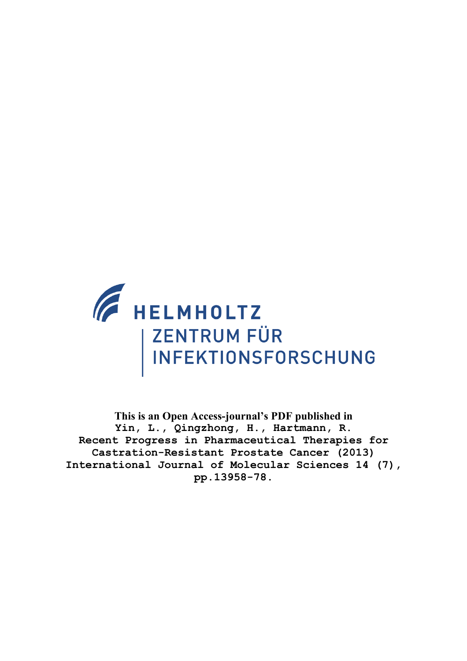

**This is an Open Access-journal's PDF published in Yin, L., Qingzhong, H., Hartmann, R. Recent Progress in Pharmaceutical Therapies for Castration-Resistant Prostate Cancer (2013) International Journal of Molecular Sciences 14 (7), pp.13958-78.**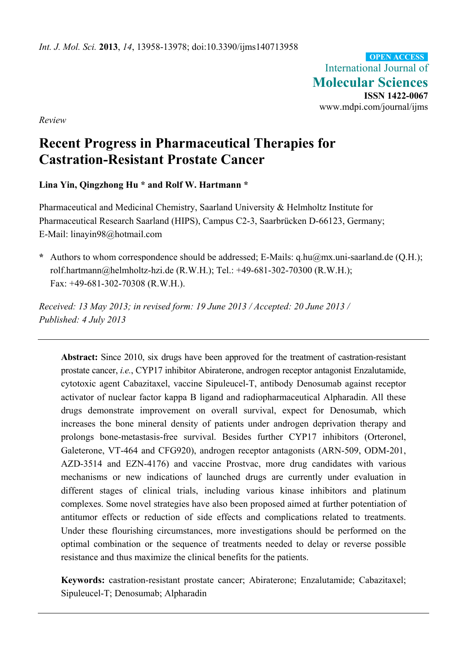International Journal of **Molecular Sciences ISSN 1422-0067**  www.mdpi.com/journal/ijms **OPEN ACCESS**

*Review* 

# **Recent Progress in Pharmaceutical Therapies for Castration-Resistant Prostate Cancer**

**Lina Yin, Qingzhong Hu \* and Rolf W. Hartmann \*** 

Pharmaceutical and Medicinal Chemistry, Saarland University & Helmholtz Institute for Pharmaceutical Research Saarland (HIPS), Campus C2-3, Saarbrücken D-66123, Germany; E-Mail: linayin98@hotmail.com

**\*** Authors to whom correspondence should be addressed; E-Mails: q.hu@mx.uni-saarland.de (Q.H.); rolf.hartmann@helmholtz-hzi.de (R.W.H.); Tel.: +49-681-302-70300 (R.W.H.); Fax: +49-681-302-70308 (R.W.H.).

*Received: 13 May 2013; in revised form: 19 June 2013 / Accepted: 20 June 2013 / Published: 4 July 2013* 

**Abstract:** Since 2010, six drugs have been approved for the treatment of castration-resistant prostate cancer, *i.e.*, CYP17 inhibitor Abiraterone, androgen receptor antagonist Enzalutamide, cytotoxic agent Cabazitaxel, vaccine Sipuleucel-T, antibody Denosumab against receptor activator of nuclear factor kappa B ligand and radiopharmaceutical Alpharadin. All these drugs demonstrate improvement on overall survival, expect for Denosumab, which increases the bone mineral density of patients under androgen deprivation therapy and prolongs bone-metastasis-free survival. Besides further CYP17 inhibitors (Orteronel, Galeterone, VT-464 and CFG920), androgen receptor antagonists (ARN-509, ODM-201, AZD-3514 and EZN-4176) and vaccine Prostvac, more drug candidates with various mechanisms or new indications of launched drugs are currently under evaluation in different stages of clinical trials, including various kinase inhibitors and platinum complexes. Some novel strategies have also been proposed aimed at further potentiation of antitumor effects or reduction of side effects and complications related to treatments. Under these flourishing circumstances, more investigations should be performed on the optimal combination or the sequence of treatments needed to delay or reverse possible resistance and thus maximize the clinical benefits for the patients.

**Keywords:** castration-resistant prostate cancer; Abiraterone; Enzalutamide; Cabazitaxel; Sipuleucel-T; Denosumab; Alpharadin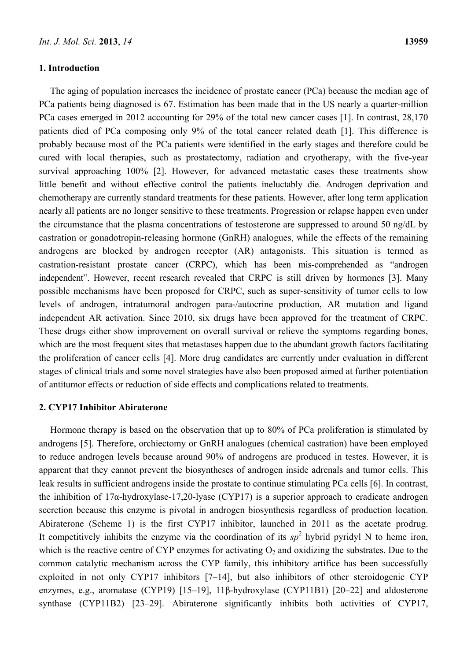#### **1. Introduction**

The aging of population increases the incidence of prostate cancer (PCa) because the median age of PCa patients being diagnosed is 67. Estimation has been made that in the US nearly a quarter-million PCa cases emerged in 2012 accounting for 29% of the total new cancer cases [1]. In contrast, 28,170 patients died of PCa composing only 9% of the total cancer related death [1]. This difference is probably because most of the PCa patients were identified in the early stages and therefore could be cured with local therapies, such as prostatectomy, radiation and cryotherapy, with the five-year survival approaching 100% [2]. However, for advanced metastatic cases these treatments show little benefit and without effective control the patients ineluctably die. Androgen deprivation and chemotherapy are currently standard treatments for these patients. However, after long term application nearly all patients are no longer sensitive to these treatments. Progression or relapse happen even under the circumstance that the plasma concentrations of testosterone are suppressed to around 50 ng/dL by castration or gonadotropin-releasing hormone (GnRH) analogues, while the effects of the remaining androgens are blocked by androgen receptor (AR) antagonists. This situation is termed as castration-resistant prostate cancer (CRPC), which has been mis-comprehended as "androgen independent". However, recent research revealed that CRPC is still driven by hormones [3]. Many possible mechanisms have been proposed for CRPC, such as super-sensitivity of tumor cells to low levels of androgen, intratumoral androgen para-/autocrine production, AR mutation and ligand independent AR activation. Since 2010, six drugs have been approved for the treatment of CRPC. These drugs either show improvement on overall survival or relieve the symptoms regarding bones, which are the most frequent sites that metastases happen due to the abundant growth factors facilitating the proliferation of cancer cells [4]. More drug candidates are currently under evaluation in different stages of clinical trials and some novel strategies have also been proposed aimed at further potentiation of antitumor effects or reduction of side effects and complications related to treatments.

## **2. CYP17 Inhibitor Abiraterone**

Hormone therapy is based on the observation that up to 80% of PCa proliferation is stimulated by androgens [5]. Therefore, orchiectomy or GnRH analogues (chemical castration) have been employed to reduce androgen levels because around 90% of androgens are produced in testes. However, it is apparent that they cannot prevent the biosyntheses of androgen inside adrenals and tumor cells. This leak results in sufficient androgens inside the prostate to continue stimulating PCa cells [6]. In contrast, the inhibition of 17α-hydroxylase-17,20-lyase (CYP17) is a superior approach to eradicate androgen secretion because this enzyme is pivotal in androgen biosynthesis regardless of production location. Abiraterone (Scheme 1) is the first CYP17 inhibitor, launched in 2011 as the acetate prodrug. It competitively inhibits the enzyme via the coordination of its  $sp<sup>2</sup>$  hybrid pyridyl N to heme iron, which is the reactive centre of CYP enzymes for activating  $O_2$  and oxidizing the substrates. Due to the common catalytic mechanism across the CYP family, this inhibitory artifice has been successfully exploited in not only CYP17 inhibitors [7–14], but also inhibitors of other steroidogenic CYP enzymes, e.g., aromatase (CYP19) [15–19], 11β-hydroxylase (CYP11B1) [20–22] and aldosterone synthase (CYP11B2) [23–29]. Abiraterone significantly inhibits both activities of CYP17,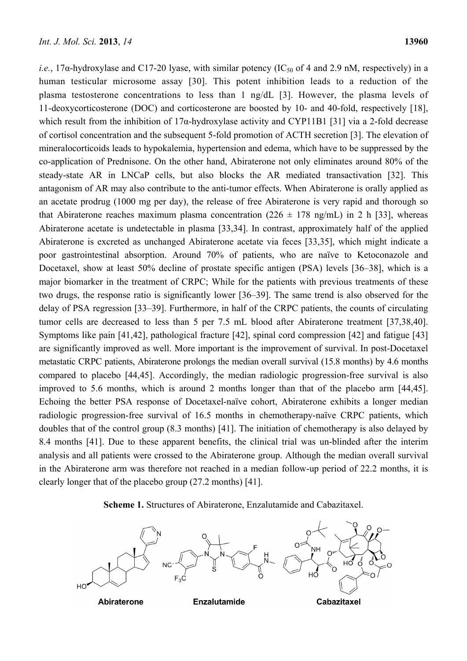*i.e.*, 17 $\alpha$ -hydroxylase and C17-20 lyase, with similar potency (IC<sub>50</sub> of 4 and 2.9 nM, respectively) in a human testicular microsome assay [30]. This potent inhibition leads to a reduction of the plasma testosterone concentrations to less than 1 ng/dL [3]. However, the plasma levels of 11-deoxycorticosterone (DOC) and corticosterone are boosted by 10- and 40-fold, respectively [18], which result from the inhibition of 17α-hydroxylase activity and CYP11B1 [31] via a 2-fold decrease of cortisol concentration and the subsequent 5-fold promotion of ACTH secretion [3]. The elevation of mineralocorticoids leads to hypokalemia, hypertension and edema, which have to be suppressed by the co-application of Prednisone. On the other hand, Abiraterone not only eliminates around 80% of the steady-state AR in LNCaP cells, but also blocks the AR mediated transactivation [32]. This antagonism of AR may also contribute to the anti-tumor effects. When Abiraterone is orally applied as an acetate prodrug (1000 mg per day), the release of free Abiraterone is very rapid and thorough so that Abiraterone reaches maximum plasma concentration ( $226 \pm 178$  ng/mL) in 2 h [33], whereas Abiraterone acetate is undetectable in plasma [33,34]. In contrast, approximately half of the applied Abiraterone is excreted as unchanged Abiraterone acetate via feces [33,35], which might indicate a poor gastrointestinal absorption. Around 70% of patients, who are naïve to Ketoconazole and Docetaxel, show at least 50% decline of prostate specific antigen (PSA) levels [36–38], which is a major biomarker in the treatment of CRPC; While for the patients with previous treatments of these two drugs, the response ratio is significantly lower [36–39]. The same trend is also observed for the delay of PSA regression [33–39]. Furthermore, in half of the CRPC patients, the counts of circulating tumor cells are decreased to less than 5 per 7.5 mL blood after Abiraterone treatment [37,38,40]. Symptoms like pain [41,42], pathological fracture [42], spinal cord compression [42] and fatigue [43] are significantly improved as well. More important is the improvement of survival. In post-Docetaxel metastatic CRPC patients, Abiraterone prolongs the median overall survival (15.8 months) by 4.6 months compared to placebo [44,45]. Accordingly, the median radiologic progression-free survival is also improved to 5.6 months, which is around 2 months longer than that of the placebo arm [44,45]. Echoing the better PSA response of Docetaxel-naïve cohort, Abiraterone exhibits a longer median radiologic progression-free survival of 16.5 months in chemotherapy-naïve CRPC patients, which doubles that of the control group (8.3 months) [41]. The initiation of chemotherapy is also delayed by 8.4 months [41]. Due to these apparent benefits, the clinical trial was un-blinded after the interim analysis and all patients were crossed to the Abiraterone group. Although the median overall survival in the Abiraterone arm was therefore not reached in a median follow-up period of 22.2 months, it is clearly longer that of the placebo group (27.2 months) [41].

**Scheme 1.** Structures of Abiraterone, Enzalutamide and Cabazitaxel.

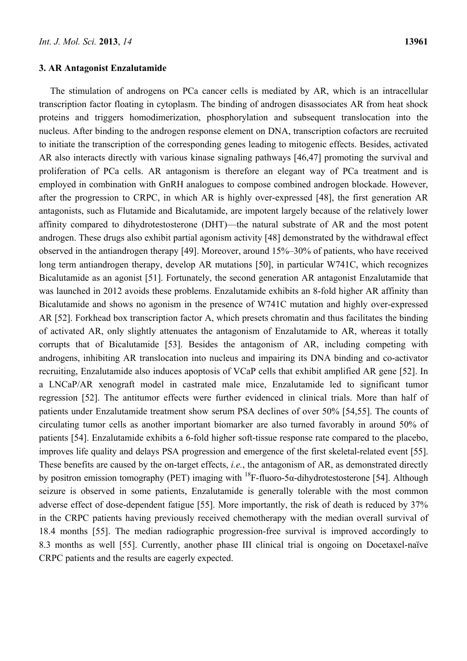The stimulation of androgens on PCa cancer cells is mediated by AR, which is an intracellular transcription factor floating in cytoplasm. The binding of androgen disassociates AR from heat shock proteins and triggers homodimerization, phosphorylation and subsequent translocation into the nucleus. After binding to the androgen response element on DNA, transcription cofactors are recruited to initiate the transcription of the corresponding genes leading to mitogenic effects. Besides, activated AR also interacts directly with various kinase signaling pathways [46,47] promoting the survival and proliferation of PCa cells. AR antagonism is therefore an elegant way of PCa treatment and is employed in combination with GnRH analogues to compose combined androgen blockade. However, after the progression to CRPC, in which AR is highly over-expressed [48], the first generation AR antagonists, such as Flutamide and Bicalutamide, are impotent largely because of the relatively lower affinity compared to dihydrotestosterone (DHT)—the natural substrate of AR and the most potent androgen. These drugs also exhibit partial agonism activity [48] demonstrated by the withdrawal effect observed in the antiandrogen therapy [49]. Moreover, around 15%–30% of patients, who have received long term antiandrogen therapy, develop AR mutations [50], in particular W741C, which recognizes Bicalutamide as an agonist [51]. Fortunately, the second generation AR antagonist Enzalutamide that was launched in 2012 avoids these problems. Enzalutamide exhibits an 8-fold higher AR affinity than Bicalutamide and shows no agonism in the presence of W741C mutation and highly over-expressed AR [52]. Forkhead box transcription factor A, which presets chromatin and thus facilitates the binding of activated AR, only slightly attenuates the antagonism of Enzalutamide to AR, whereas it totally corrupts that of Bicalutamide [53]. Besides the antagonism of AR, including competing with androgens, inhibiting AR translocation into nucleus and impairing its DNA binding and co-activator recruiting, Enzalutamide also induces apoptosis of VCaP cells that exhibit amplified AR gene [52]. In a LNCaP/AR xenograft model in castrated male mice, Enzalutamide led to significant tumor regression [52]. The antitumor effects were further evidenced in clinical trials. More than half of patients under Enzalutamide treatment show serum PSA declines of over 50% [54,55]. The counts of circulating tumor cells as another important biomarker are also turned favorably in around 50% of patients [54]. Enzalutamide exhibits a 6-fold higher soft-tissue response rate compared to the placebo, improves life quality and delays PSA progression and emergence of the first skeletal-related event [55]. These benefits are caused by the on-target effects, *i.e.*, the antagonism of AR, as demonstrated directly by positron emission tomography (PET) imaging with  $^{18}F$ -fluoro-5α-dihydrotestosterone [54]. Although seizure is observed in some patients, Enzalutamide is generally tolerable with the most common adverse effect of dose-dependent fatigue [55]. More importantly, the risk of death is reduced by 37% in the CRPC patients having previously received chemotherapy with the median overall survival of 18.4 months [55]. The median radiographic progression-free survival is improved accordingly to 8.3 months as well [55]. Currently, another phase III clinical trial is ongoing on Docetaxel-naïve CRPC patients and the results are eagerly expected.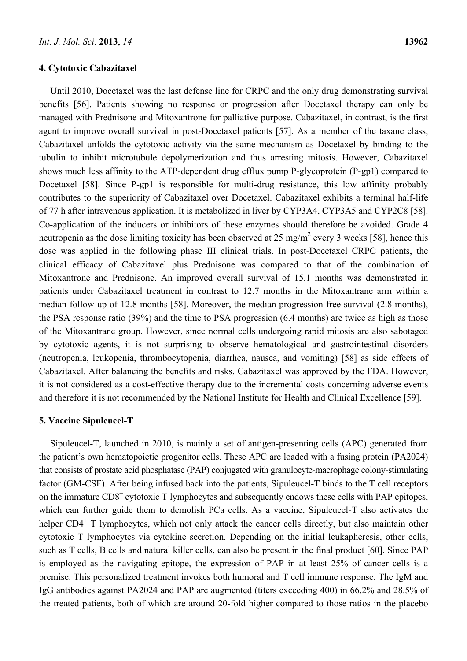# **4. Cytotoxic Cabazitaxel**

Until 2010, Docetaxel was the last defense line for CRPC and the only drug demonstrating survival benefits [56]. Patients showing no response or progression after Docetaxel therapy can only be managed with Prednisone and Mitoxantrone for palliative purpose. Cabazitaxel, in contrast, is the first agent to improve overall survival in post-Docetaxel patients [57]. As a member of the taxane class, Cabazitaxel unfolds the cytotoxic activity via the same mechanism as Docetaxel by binding to the tubulin to inhibit microtubule depolymerization and thus arresting mitosis. However, Cabazitaxel shows much less affinity to the ATP-dependent drug efflux pump P-glycoprotein (P-gp1) compared to Docetaxel [58]. Since P-gp1 is responsible for multi-drug resistance, this low affinity probably contributes to the superiority of Cabazitaxel over Docetaxel. Cabazitaxel exhibits a terminal half-life of 77 h after intravenous application. It is metabolized in liver by CYP3A4, CYP3A5 and CYP2C8 [58]. Co-application of the inducers or inhibitors of these enzymes should therefore be avoided. Grade 4 neutropenia as the dose limiting toxicity has been observed at 25 mg/m<sup>2</sup> every 3 weeks [58], hence this dose was applied in the following phase III clinical trials. In post-Docetaxel CRPC patients, the clinical efficacy of Cabazitaxel plus Prednisone was compared to that of the combination of Mitoxantrone and Prednisone. An improved overall survival of 15.1 months was demonstrated in patients under Cabazitaxel treatment in contrast to 12.7 months in the Mitoxantrane arm within a median follow-up of 12.8 months [58]. Moreover, the median progression-free survival (2.8 months), the PSA response ratio (39%) and the time to PSA progression (6.4 months) are twice as high as those of the Mitoxantrane group. However, since normal cells undergoing rapid mitosis are also sabotaged by cytotoxic agents, it is not surprising to observe hematological and gastrointestinal disorders (neutropenia, leukopenia, thrombocytopenia, diarrhea, nausea, and vomiting) [58] as side effects of Cabazitaxel. After balancing the benefits and risks, Cabazitaxel was approved by the FDA. However, it is not considered as a cost-effective therapy due to the incremental costs concerning adverse events and therefore it is not recommended by the National Institute for Health and Clinical Excellence [59].

#### **5. Vaccine Sipuleucel-T**

Sipuleucel-T, launched in 2010, is mainly a set of antigen-presenting cells (APC) generated from the patient's own hematopoietic progenitor cells. These APC are loaded with a fusing protein (PA2024) that consists of prostate acid phosphatase (PAP) conjugated with granulocyte-macrophage colony-stimulating factor (GM-CSF). After being infused back into the patients, Sipuleucel-T binds to the T cell receptors on the immature  $CDS<sup>+</sup>$  cytotoxic T lymphocytes and subsequently endows these cells with PAP epitopes, which can further guide them to demolish PCa cells. As a vaccine, Sipuleucel-T also activates the helper CD4<sup>+</sup> T lymphocytes, which not only attack the cancer cells directly, but also maintain other cytotoxic T lymphocytes via cytokine secretion. Depending on the initial leukapheresis, other cells, such as T cells, B cells and natural killer cells, can also be present in the final product [60]. Since PAP is employed as the navigating epitope, the expression of PAP in at least 25% of cancer cells is a premise. This personalized treatment invokes both humoral and T cell immune response. The IgM and IgG antibodies against PA2024 and PAP are augmented (titers exceeding 400) in 66.2% and 28.5% of the treated patients, both of which are around 20-fold higher compared to those ratios in the placebo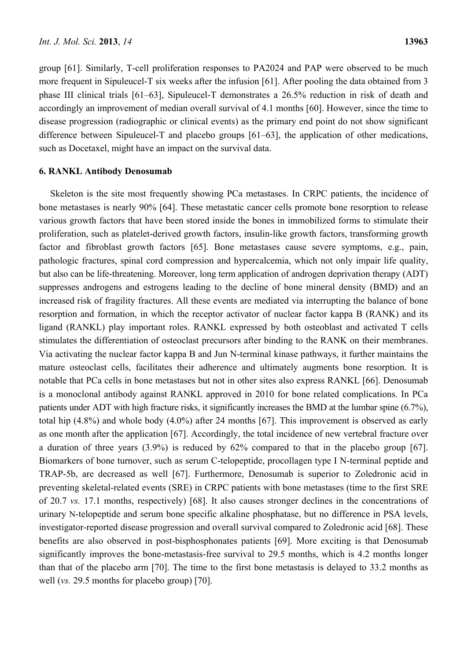group [61]. Similarly, T-cell proliferation responses to PA2024 and PAP were observed to be much more frequent in Sipuleucel-T six weeks after the infusion [61]. After pooling the data obtained from 3 phase III clinical trials [61–63], Sipuleucel-T demonstrates a 26.5% reduction in risk of death and accordingly an improvement of median overall survival of 4.1 months [60]. However, since the time to disease progression (radiographic or clinical events) as the primary end point do not show significant difference between Sipuleucel-T and placebo groups [61–63], the application of other medications, such as Docetaxel, might have an impact on the survival data.

#### **6. RANKL Antibody Denosumab**

Skeleton is the site most frequently showing PCa metastases. In CRPC patients, the incidence of bone metastases is nearly 90% [64]. These metastatic cancer cells promote bone resorption to release various growth factors that have been stored inside the bones in immobilized forms to stimulate their proliferation, such as platelet-derived growth factors, insulin-like growth factors, transforming growth factor and fibroblast growth factors [65]. Bone metastases cause severe symptoms, e.g., pain, pathologic fractures, spinal cord compression and hypercalcemia, which not only impair life quality, but also can be life-threatening. Moreover, long term application of androgen deprivation therapy (ADT) suppresses androgens and estrogens leading to the decline of bone mineral density (BMD) and an increased risk of fragility fractures. All these events are mediated via interrupting the balance of bone resorption and formation, in which the receptor activator of nuclear factor kappa B (RANK) and its ligand (RANKL) play important roles. RANKL expressed by both osteoblast and activated T cells stimulates the differentiation of osteoclast precursors after binding to the RANK on their membranes. Via activating the nuclear factor kappa B and Jun N-terminal kinase pathways, it further maintains the mature osteoclast cells, facilitates their adherence and ultimately augments bone resorption. It is notable that PCa cells in bone metastases but not in other sites also express RANKL [66]. Denosumab is a monoclonal antibody against RANKL approved in 2010 for bone related complications. In PCa patients under ADT with high fracture risks, it significantly increases the BMD at the lumbar spine (6.7%), total hip (4.8%) and whole body (4.0%) after 24 months [67]. This improvement is observed as early as one month after the application [67]. Accordingly, the total incidence of new vertebral fracture over a duration of three years (3.9%) is reduced by 62% compared to that in the placebo group [67]. Biomarkers of bone turnover, such as serum C-telopeptide, procollagen type I N-terminal peptide and TRAP-5b, are decreased as well [67]. Furthermore, Denosumab is superior to Zoledronic acid in preventing skeletal-related events (SRE) in CRPC patients with bone metastases (time to the first SRE of 20.7 *vs.* 17.1 months, respectively) [68]. It also causes stronger declines in the concentrations of urinary N-telopeptide and serum bone specific alkaline phosphatase, but no difference in PSA levels, investigator-reported disease progression and overall survival compared to Zoledronic acid [68]. These benefits are also observed in post-bisphosphonates patients [69]. More exciting is that Denosumab significantly improves the bone-metastasis-free survival to 29.5 months, which is 4.2 months longer than that of the placebo arm [70]. The time to the first bone metastasis is delayed to 33.2 months as well (*vs.* 29.5 months for placebo group) [70].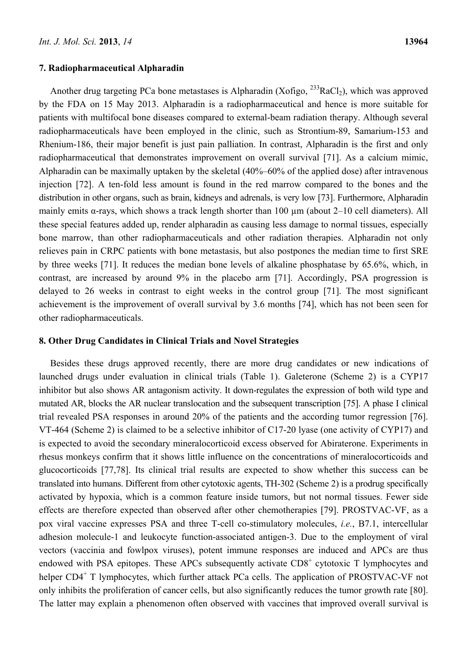#### **7. Radiopharmaceutical Alpharadin**

Another drug targeting PCa bone metastases is Alpharadin (Xofigo,  $^{233}$ RaCl<sub>2</sub>), which was approved by the FDA on 15 May 2013. Alpharadin is a radiopharmaceutical and hence is more suitable for patients with multifocal bone diseases compared to external-beam radiation therapy. Although several radiopharmaceuticals have been employed in the clinic, such as Strontium-89, Samarium-153 and Rhenium-186, their major benefit is just pain palliation. In contrast, Alpharadin is the first and only radiopharmaceutical that demonstrates improvement on overall survival [71]. As a calcium mimic, Alpharadin can be maximally uptaken by the skeletal (40%–60% of the applied dose) after intravenous injection [72]. A ten-fold less amount is found in the red marrow compared to the bones and the distribution in other organs, such as brain, kidneys and adrenals, is very low [73]. Furthermore, Alpharadin mainly emits  $\alpha$ -rays, which shows a track length shorter than 100  $\mu$ m (about 2–10 cell diameters). All these special features added up, render alpharadin as causing less damage to normal tissues, especially bone marrow, than other radiopharmaceuticals and other radiation therapies. Alpharadin not only relieves pain in CRPC patients with bone metastasis, but also postpones the median time to first SRE by three weeks [71]. It reduces the median bone levels of alkaline phosphatase by 65.6%, which, in contrast, are increased by around 9% in the placebo arm [71]. Accordingly, PSA progression is delayed to 26 weeks in contrast to eight weeks in the control group [71]. The most significant achievement is the improvement of overall survival by 3.6 months [74], which has not been seen for other radiopharmaceuticals.

# **8. Other Drug Candidates in Clinical Trials and Novel Strategies**

Besides these drugs approved recently, there are more drug candidates or new indications of launched drugs under evaluation in clinical trials (Table 1). Galeterone (Scheme 2) is a CYP17 inhibitor but also shows AR antagonism activity. It down-regulates the expression of both wild type and mutated AR, blocks the AR nuclear translocation and the subsequent transcription [75]. A phase I clinical trial revealed PSA responses in around 20% of the patients and the according tumor regression [76]. VT-464 (Scheme 2) is claimed to be a selective inhibitor of C17-20 lyase (one activity of CYP17) and is expected to avoid the secondary mineralocorticoid excess observed for Abiraterone. Experiments in rhesus monkeys confirm that it shows little influence on the concentrations of mineralocorticoids and glucocorticoids [77,78]. Its clinical trial results are expected to show whether this success can be translated into humans. Different from other cytotoxic agents, TH-302 (Scheme 2) is a prodrug specifically activated by hypoxia, which is a common feature inside tumors, but not normal tissues. Fewer side effects are therefore expected than observed after other chemotherapies [79]. PROSTVAC-VF, as a pox viral vaccine expresses PSA and three T-cell co-stimulatory molecules, *i.e.*, B7.1, intercellular adhesion molecule-1 and leukocyte function-associated antigen-3. Due to the employment of viral vectors (vaccinia and fowlpox viruses), potent immune responses are induced and APCs are thus endowed with PSA epitopes. These APCs subsequently activate CD8<sup>+</sup> cytotoxic T lymphocytes and helper CD4<sup>+</sup> T lymphocytes, which further attack PCa cells. The application of PROSTVAC-VF not only inhibits the proliferation of cancer cells, but also significantly reduces the tumor growth rate [80]. The latter may explain a phenomenon often observed with vaccines that improved overall survival is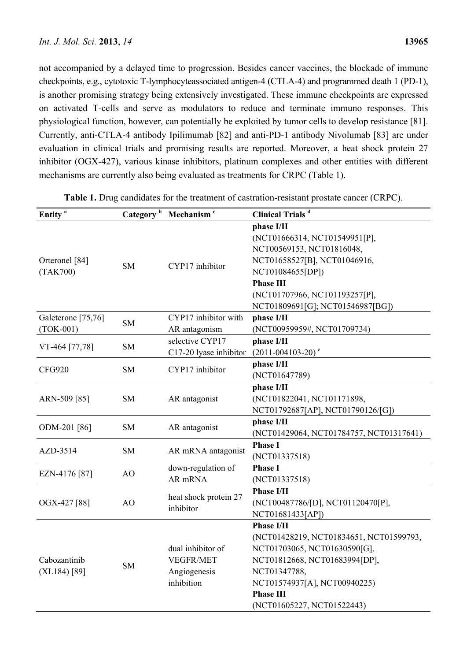not accompanied by a delayed time to progression. Besides cancer vaccines, the blockade of immune checkpoints, e.g., cytotoxic T-lymphocyteassociated antigen-4 (CTLA-4) and programmed death 1 (PD-1), is another promising strategy being extensively investigated. These immune checkpoints are expressed on activated T-cells and serve as modulators to reduce and terminate immuno responses. This physiological function, however, can potentially be exploited by tumor cells to develop resistance [81]. Currently, anti-CTLA-4 antibody Ipilimumab [82] and anti-PD-1 antibody Nivolumab [83] are under evaluation in clinical trials and promising results are reported. Moreover, a heat shock protein 27 inhibitor (OGX-427), various kinase inhibitors, platinum complexes and other entities with different mechanisms are currently also being evaluated as treatments for CRPC (Table 1).

| Entity <sup>a</sup>               |           | Category <sup>b</sup> Mechanism <sup>c</sup>                        | <b>Clinical Trials</b> <sup>d</sup>                                                                                                                                                                                             |
|-----------------------------------|-----------|---------------------------------------------------------------------|---------------------------------------------------------------------------------------------------------------------------------------------------------------------------------------------------------------------------------|
| Orteronel [84]<br>(TAK700)        | <b>SM</b> | CYP17 inhibitor                                                     | phase I/II<br>(NCT01666314, NCT01549951[P],<br>NCT00569153, NCT01816048,<br>NCT01658527[B], NCT01046916,<br>NCT01084655[DP])<br><b>Phase III</b><br>(NCT01707966, NCT01193257[P],<br>NCT01809691[G]; NCT01546987[BG])           |
| Galeterone [75,76]<br>$(TOK-001)$ | <b>SM</b> | CYP17 inhibitor with<br>AR antagonism                               | phase I/II<br>(NCT00959959#, NCT01709734)                                                                                                                                                                                       |
| VT-464 [77,78]                    | <b>SM</b> | selective CYP17<br>C17-20 lyase inhibitor                           | phase I/II<br>$(2011 - 004103 - 20)$ <sup>e</sup>                                                                                                                                                                               |
| <b>CFG920</b>                     | <b>SM</b> | CYP17 inhibitor                                                     | phase I/II<br>(NCT01647789)                                                                                                                                                                                                     |
| ARN-509 [85]                      | <b>SM</b> | AR antagonist                                                       | phase I/II<br>(NCT01822041, NCT01171898,<br>NCT01792687[AP], NCT01790126/[G])                                                                                                                                                   |
| ODM-201 [86]                      | <b>SM</b> | AR antagonist                                                       | phase I/II<br>(NCT01429064, NCT01784757, NCT01317641)                                                                                                                                                                           |
| AZD-3514                          | <b>SM</b> | AR mRNA antagonist                                                  | <b>Phase I</b><br>(NCT01337518)                                                                                                                                                                                                 |
| EZN-4176 [87]                     | AO        | down-regulation of<br>AR mRNA                                       | <b>Phase I</b><br>(NCT01337518)                                                                                                                                                                                                 |
| OGX-427 [88]                      | AO        | heat shock protein 27<br>inhibitor                                  | <b>Phase I/II</b><br>(NCT00487786/[D], NCT01120470[P],<br>NCT01681433[AP])                                                                                                                                                      |
| Cabozantinib<br>$(XL184)$ [89]    | <b>SM</b> | dual inhibitor of<br><b>VEGFR/MET</b><br>Angiogenesis<br>inhibition | <b>Phase I/II</b><br>(NCT01428219, NCT01834651, NCT01599793,<br>NCT01703065, NCT01630590[G],<br>NCT01812668, NCT01683994[DP],<br>NCT01347788,<br>NCT01574937[A], NCT00940225)<br><b>Phase III</b><br>(NCT01605227, NCT01522443) |

| Table 1. Drug candidates for the treatment of castration-resistant prostate cancer (CRPC). |  |  |
|--------------------------------------------------------------------------------------------|--|--|
|--------------------------------------------------------------------------------------------|--|--|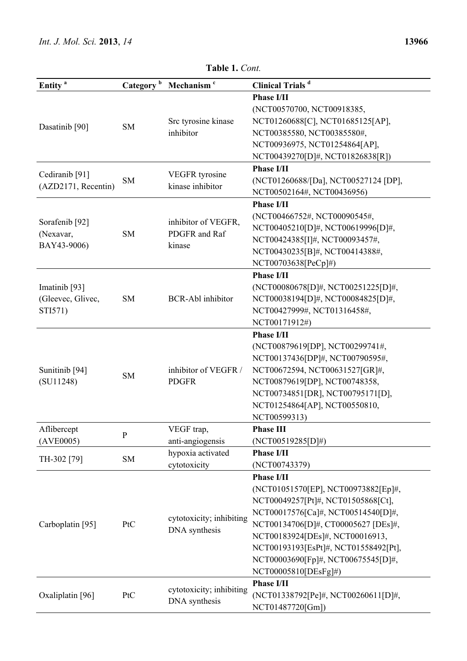| Entity <sup>a</sup>                              | Category <sup>b</sup> | Mechanism <sup>c</sup>                         | <b>Clinical Trials</b> <sup>d</sup>  |
|--------------------------------------------------|-----------------------|------------------------------------------------|--------------------------------------|
|                                                  |                       |                                                | <b>Phase I/II</b>                    |
|                                                  |                       |                                                | (NCT00570700, NCT00918385,           |
|                                                  |                       | Src tyrosine kinase                            | NCT01260688[C], NCT01685125[AP],     |
| Dasatinib <sup>[90]</sup>                        | <b>SM</b>             | inhibitor                                      | NCT00385580, NCT00385580#,           |
|                                                  |                       |                                                | NCT00936975, NCT01254864[AP],        |
|                                                  |                       |                                                | NCT00439270[D]#, NCT01826838[R])     |
|                                                  |                       |                                                | <b>Phase I/II</b>                    |
| Cediranib <sup>[91]</sup><br>(AZD2171, Recentin) | <b>SM</b>             | <b>VEGFR</b> tyrosine<br>kinase inhibitor      | (NCT01260688/[Da], NCT00527124 [DP], |
|                                                  |                       |                                                | NCT00502164#, NCT00436956)           |
|                                                  |                       |                                                | <b>Phase I/II</b>                    |
| Sorafenib <sup>[92]</sup><br>(Nexavar,           |                       | inhibitor of VEGFR,<br>PDGFR and Raf<br>kinase | (NCT00466752#, NCT00090545#,         |
|                                                  |                       |                                                | NCT00405210[D]#, NCT00619996[D]#,    |
|                                                  | <b>SM</b>             |                                                |                                      |
| BAY43-9006)                                      |                       |                                                | NCT00424385[I]#, NCT00093457#,       |
|                                                  |                       |                                                | NCT00430235[B]#, NCT00414388#,       |
|                                                  |                       |                                                | NCT00703638[PeCp]#)                  |
|                                                  |                       |                                                | <b>Phase I/II</b>                    |
| Imatinib <sup>[93]</sup>                         |                       |                                                | (NCT00080678[D]#, NCT00251225[D]#,   |
| (Gleevec, Glivec,                                | <b>SM</b>             | <b>BCR-Abl</b> inhibitor                       | NCT00038194[D]#, NCT00084825[D]#,    |
| STI571)                                          |                       |                                                | NCT00427999#, NCT01316458#,          |
|                                                  |                       |                                                | NCT00171912#)                        |
|                                                  |                       |                                                | <b>Phase I/II</b>                    |
|                                                  | <b>SM</b>             | inhibitor of VEGFR /<br><b>PDGFR</b>           | (NCT00879619[DP], NCT00299741#,      |
|                                                  |                       |                                                | NCT00137436[DP]#, NCT00790595#,      |
| Sunitinib <sup>[94]</sup>                        |                       |                                                | NCT00672594, NCT00631527[GR]#,       |
| (SU11248)                                        |                       |                                                | NCT00879619[DP], NCT00748358,        |
|                                                  |                       |                                                | NCT00734851[DR], NCT00795171[D],     |
|                                                  |                       |                                                | NCT01254864[AP], NCT00550810,        |
|                                                  |                       |                                                | NCT00599313)                         |
| Aflibercept                                      | $\mathbf{P}$          | VEGF trap,                                     | <b>Phase III</b>                     |
| (AVE0005)                                        |                       | anti-angiogensis                               | (NCT00519285[D]#)                    |
| TH-302 [79]                                      | <b>SM</b>             | hypoxia activated                              | <b>Phase I/II</b>                    |
|                                                  |                       | cytotoxicity                                   | (NCT00743379)                        |
|                                                  |                       |                                                | <b>Phase I/II</b>                    |
| Carboplatin [95]                                 |                       |                                                | (NCT01051570[EP], NCT00973882[Ep]#,  |
|                                                  | PtC                   | cytotoxicity; inhibiting<br>DNA synthesis      | NCT00049257[Pt]#, NCT01505868[Ct],   |
|                                                  |                       |                                                | NCT00017576[Ca]#, NCT00514540[D]#,   |
|                                                  |                       |                                                | NCT00134706[D]#, CT00005627 [DEs]#,  |
|                                                  |                       |                                                | NCT00183924[DEs]#, NCT00016913,      |
|                                                  |                       |                                                | NCT00193193[EsPt]#, NCT01558492[Pt], |
|                                                  |                       |                                                | NCT00003690[Fp]#, NCT00675545[D]#,   |
|                                                  |                       |                                                | NCT00005810[DEsFg]#)                 |
|                                                  |                       |                                                | <b>Phase I/II</b>                    |
| Oxaliplatin [96]                                 | PtC                   | cytotoxicity; inhibiting<br>DNA synthesis      | (NCT01338792[Pe]#, NCT00260611[D]#,  |
|                                                  |                       |                                                | NCT01487720[Gm])                     |

**Table 1.** *Cont.*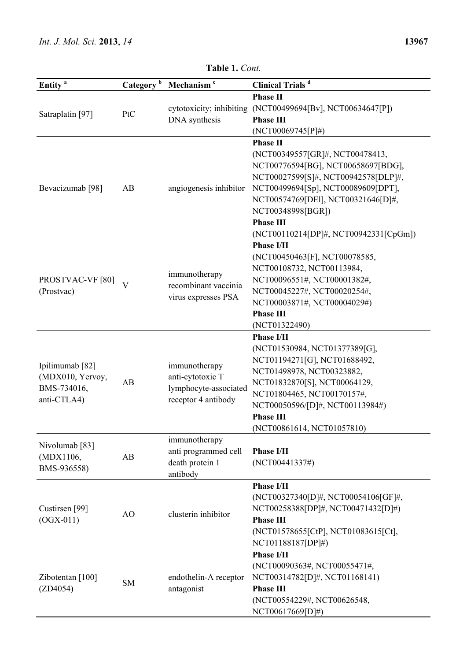| Entity <sup>a</sup>                                               | Category <sup>b</sup>   | Mechanism <sup>c</sup>                                                            | <b>Clinical Trials</b> <sup>d</sup>                                                                                                                                                                                                                                                           |
|-------------------------------------------------------------------|-------------------------|-----------------------------------------------------------------------------------|-----------------------------------------------------------------------------------------------------------------------------------------------------------------------------------------------------------------------------------------------------------------------------------------------|
|                                                                   |                         |                                                                                   | <b>Phase II</b>                                                                                                                                                                                                                                                                               |
| Satraplatin [97]                                                  | PtC                     | DNA synthesis                                                                     | cytotoxicity; inhibiting (NCT00499694[Bv], NCT00634647[P])<br><b>Phase III</b><br>$(NCT00069745[P]\#)$                                                                                                                                                                                        |
| Bevacizumab <sup>[98]</sup>                                       | AB                      | angiogenesis inhibitor                                                            | <b>Phase II</b><br>(NCT00349557[GR]#, NCT00478413,<br>NCT00776594[BG], NCT00658697[BDG],<br>NCT00027599[S]#, NCT00942578[DLP]#,<br>NCT00499694[Sp], NCT00089609[DPT],<br>NCT00574769[DEI], NCT00321646[D]#,<br>NCT00348998[BGR])<br><b>Phase III</b><br>(NCT00110214[DP]#, NCT00942331[CpGm]) |
| PROSTVAC-VF [80]<br>(Prostvac)                                    | $\overline{\mathbf{V}}$ | immunotherapy<br>recombinant vaccinia<br>virus expresses PSA                      | <b>Phase I/II</b><br>(NCT00450463[F], NCT00078585,<br>NCT00108732, NCT00113984,<br>NCT00096551#, NCT00001382#,<br>NCT00045227#, NCT00020254#,<br>NCT00003871#, NCT00004029#)<br><b>Phase III</b><br>(NCT01322490)                                                                             |
| Ipilimumab [82]<br>(MDX010, Yervoy,<br>BMS-734016,<br>anti-CTLA4) | AB                      | immunotherapy<br>anti-cytotoxic T<br>lymphocyte-associated<br>receptor 4 antibody | <b>Phase I/II</b><br>(NCT01530984, NCT01377389[G],<br>NCT01194271[G], NCT01688492,<br>NCT01498978, NCT00323882,<br>NCT01832870[S], NCT00064129,<br>NCT01804465, NCT00170157#,<br>NCT00050596/[D]#, NCT00113984#)<br><b>Phase III</b><br>(NCT00861614, NCT01057810)                            |
| Nivolumab <sup>[83]</sup><br>(MDX1106,<br>BMS-936558)             | AB                      | immunotherapy<br>anti programmed cell<br>death protein 1<br>antibody              | <b>Phase I/II</b><br>(NCT00441337#)                                                                                                                                                                                                                                                           |
| Custirsen <sup>[99]</sup><br>$(OGX-011)$                          | AO                      | clusterin inhibitor                                                               | <b>Phase I/II</b><br>(NCT00327340[D]#, NCT00054106[GF]#,<br>NCT00258388[DP]#, NCT00471432[D]#)<br><b>Phase III</b><br>(NCT01578655[CtP], NCT01083615[Ct],<br>NCT01188187[DP]#)                                                                                                                |
| Zibotentan [100]<br>(ZD4054)                                      | <b>SM</b>               | endothelin-A receptor<br>antagonist                                               | <b>Phase I/II</b><br>(NCT00090363#, NCT00055471#,<br>NCT00314782[D]#, NCT01168141)<br><b>Phase III</b><br>(NCT00554229#, NCT00626548,<br>NCT00617669[D]#)                                                                                                                                     |

**Table 1.** *Cont.*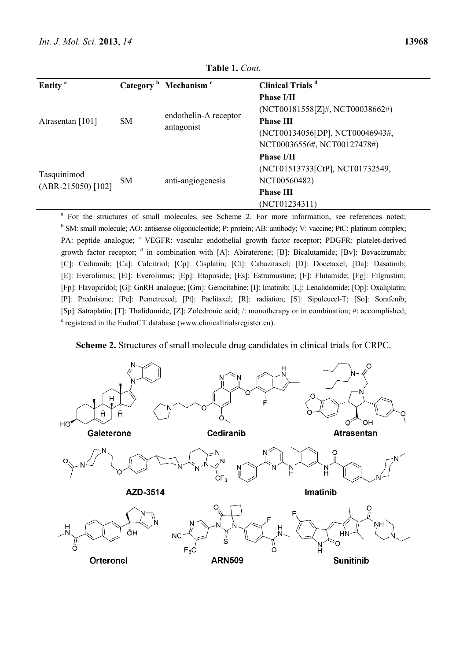| Entity <sup>a</sup>                 | Category <sup>b</sup> | Mechanism <sup>c</sup>              | Clinical Trials <sup>d</sup>                            |
|-------------------------------------|-----------------------|-------------------------------------|---------------------------------------------------------|
| Atrasentan [101]                    | <b>SM</b>             | endothelin-A receptor<br>antagonist | <b>Phase I/II</b>                                       |
|                                     |                       |                                     | $(NOT00181558[Z]\#, NOT00038662\#)$<br><b>Phase III</b> |
|                                     |                       |                                     | (NCT00134056[DP], NCT00046943#,                         |
|                                     |                       |                                     | NCT00036556#, NCT00127478#)                             |
|                                     |                       |                                     | <b>Phase I/II</b>                                       |
| Tasquinimod<br>$(ABR-215050)$ [102] | <b>SM</b>             | anti-angiogenesis                   | (NCT01513733[CtP], NCT01732549,                         |
|                                     |                       |                                     | NCT00560482)                                            |
|                                     |                       |                                     | <b>Phase III</b>                                        |
|                                     |                       |                                     | (NCT01234311)                                           |

**Table 1.** *Cont.*

<sup>a</sup> For the structures of small molecules, see Scheme 2. For more information, see references noted; <sup>b</sup> SM: small molecule; AO: antisense oligonucleotide; P: protein; AB: antibody; V: vaccine; PtC: platinum complex; PA: peptide analogue; <sup>c</sup> VEGFR: vascular endothelial growth factor receptor; PDGFR: platelet-derived growth factor receptor;  $\text{d}$  in combination with [A]: Abiraterone; [B]: Bicalutamide; [Bv]: Bevacizumab; [C]: Cediranib; [Ca]: Calcitriol; [Cp]: Cisplatin; [Ct]: Cabazitaxel; [D]: Docetaxel; [Da]: Dasatinib; [E]: Everolimus; [El]: Everolimus; [Ep]: Etoposide; [Es]: Estramustine; [F]: Flutamide; [Fg]: Filgrastim; [Fp]: Flavopiridol; [G]: GnRH analogue; [Gm]: Gemcitabine; [I]: Imatinib; [L]: Lenalidomide; [Op]: Oxaliplatin; [P]: Prednisone; [Pe]: Pemetrexed; [Pt]: Paclitaxel; [R]: radiation; [S]: Sipuleucel-T; [So]: Sorafenib; [Sp]: Satraplatin; [T]: Thalidomide; [Z]: Zoledronic acid; /: monotherapy or in combination; #: accomplished; <sup>e</sup> registered in the EudraCT database (www.clinicaltrialsregister.eu).

**Scheme 2.** Structures of small molecule drug candidates in clinical trials for CRPC.

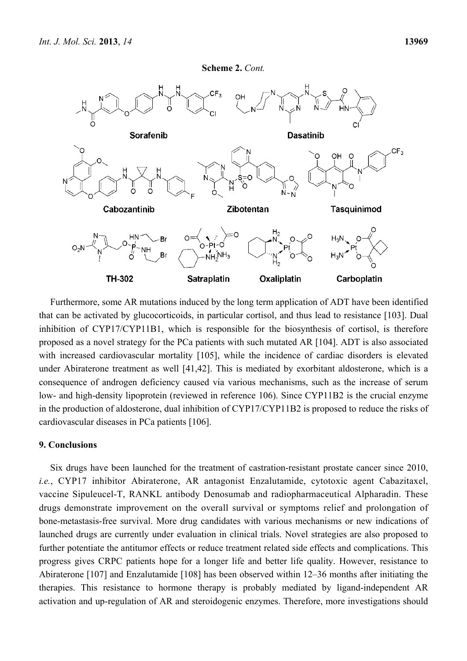



Furthermore, some AR mutations induced by the long term application of ADT have been identified that can be activated by glucocorticoids, in particular cortisol, and thus lead to resistance [103]. Dual inhibition of CYP17/CYP11B1, which is responsible for the biosynthesis of cortisol, is therefore proposed as a novel strategy for the PCa patients with such mutated AR [104]. ADT is also associated with increased cardiovascular mortality [105], while the incidence of cardiac disorders is elevated under Abiraterone treatment as well [41,42]. This is mediated by exorbitant aldosterone, which is a consequence of androgen deficiency caused via various mechanisms, such as the increase of serum low- and high-density lipoprotein (reviewed in reference 106). Since CYP11B2 is the crucial enzyme in the production of aldosterone, dual inhibition of CYP17/CYP11B2 is proposed to reduce the risks of cardiovascular diseases in PCa patients [106].

## **9. Conclusions**

Six drugs have been launched for the treatment of castration-resistant prostate cancer since 2010, *i.e.*, CYP17 inhibitor Abiraterone, AR antagonist Enzalutamide, cytotoxic agent Cabazitaxel, vaccine Sipuleucel-T, RANKL antibody Denosumab and radiopharmaceutical Alpharadin. These drugs demonstrate improvement on the overall survival or symptoms relief and prolongation of bone-metastasis-free survival. More drug candidates with various mechanisms or new indications of launched drugs are currently under evaluation in clinical trials. Novel strategies are also proposed to further potentiate the antitumor effects or reduce treatment related side effects and complications. This progress gives CRPC patients hope for a longer life and better life quality. However, resistance to Abiraterone [107] and Enzalutamide [108] has been observed within 12–36 months after initiating the therapies. This resistance to hormone therapy is probably mediated by ligand-independent AR activation and up-regulation of AR and steroidogenic enzymes. Therefore, more investigations should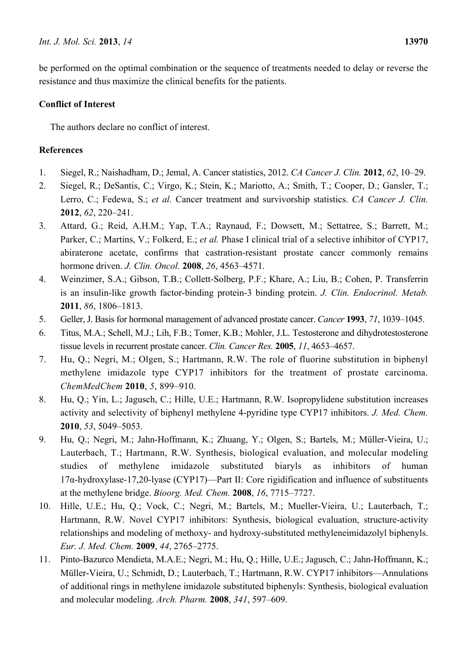be performed on the optimal combination or the sequence of treatments needed to delay or reverse the resistance and thus maximize the clinical benefits for the patients.

# **Conflict of Interest**

The authors declare no conflict of interest.

# **References**

- 1. Siegel, R.; Naishadham, D.; Jemal, A. Cancer statistics, 2012. *CA Cancer J. Clin.* **2012**, *62*, 10–29.
- 2. Siegel, R.; DeSantis, C.; Virgo, K.; Stein, K.; Mariotto, A.; Smith, T.; Cooper, D.; Gansler, T.; Lerro, C.; Fedewa, S.; *et al.* Cancer treatment and survivorship statistics. *CA Cancer J. Clin.* **2012**, *62*, 220–241.
- 3. Attard, G.; Reid, A.H.M.; Yap, T.A.; Raynaud, F.; Dowsett, M.; Settatree, S.; Barrett, M.; Parker, C.; Martins, V.; Folkerd, E.; *et al.* Phase I clinical trial of a selective inhibitor of CYP17, abiraterone acetate, confirms that castration-resistant prostate cancer commonly remains hormone driven. *J. Clin. Oncol.* **2008**, *26*, 4563–4571.
- 4. Weinzimer, S.A.; Gibson, T.B.; Collett-Solberg, P.F.; Khare, A.; Liu, B.; Cohen, P. Transferrin is an insulin-like growth factor-binding protein-3 binding protein. *J. Clin. Endocrinol. Metab.* **2011**, *86*, 1806–1813.
- 5. Geller, J. Basis for hormonal management of advanced prostate cancer. *Cancer* **1993**, *71*, 1039–1045.
- 6. Titus, M.A.; Schell, M.J.; Lih, F.B.; Tomer, K.B.; Mohler, J.L. Testosterone and dihydrotestosterone tissue levels in recurrent prostate cancer. *Clin. Cancer Res.* **2005**, *11*, 4653–4657.
- 7. Hu, Q.; Negri, M.; Olgen, S.; Hartmann, R.W. The role of fluorine substitution in biphenyl methylene imidazole type CYP17 inhibitors for the treatment of prostate carcinoma. *ChemMedChem* **2010**, *5*, 899–910.
- 8. Hu, Q.; Yin, L.; Jagusch, C.; Hille, U.E.; Hartmann, R.W. Isopropylidene substitution increases activity and selectivity of biphenyl methylene 4-pyridine type CYP17 inhibitors. *J. Med. Chem.* **2010**, *53*, 5049–5053.
- 9. Hu, Q.; Negri, M.; Jahn-Hoffmann, K.; Zhuang, Y.; Olgen, S.; Bartels, M.; Müller-Vieira, U.; Lauterbach, T.; Hartmann, R.W. Synthesis, biological evaluation, and molecular modeling studies of methylene imidazole substituted biaryls as inhibitors of human 17α-hydroxylase-17,20-lyase (CYP17)—Part II: Core rigidification and influence of substituents at the methylene bridge. *Bioorg. Med. Chem.* **2008**, *16*, 7715–7727.
- 10. Hille, U.E.; Hu, Q.; Vock, C.; Negri, M.; Bartels, M.; Mueller-Vieira, U.; Lauterbach, T.; Hartmann, R.W. Novel CYP17 inhibitors: Synthesis, biological evaluation, structure-activity relationships and modeling of methoxy- and hydroxy-substituted methyleneimidazolyl biphenyls. *Eur. J. Med. Chem.* **2009**, *44*, 2765–2775.
- 11. Pinto-Bazurco Mendieta, M.A.E.; Negri, M.; Hu, Q.; Hille, U.E.; Jagusch, C.; Jahn-Hoffmann, K.; Müller-Vieira, U.; Schmidt, D.; Lauterbach, T.; Hartmann, R.W. CYP17 inhibitors—Annulations of additional rings in methylene imidazole substituted biphenyls: Synthesis, biological evaluation and molecular modeling. *Arch. Pharm.* **2008**, *341*, 597–609.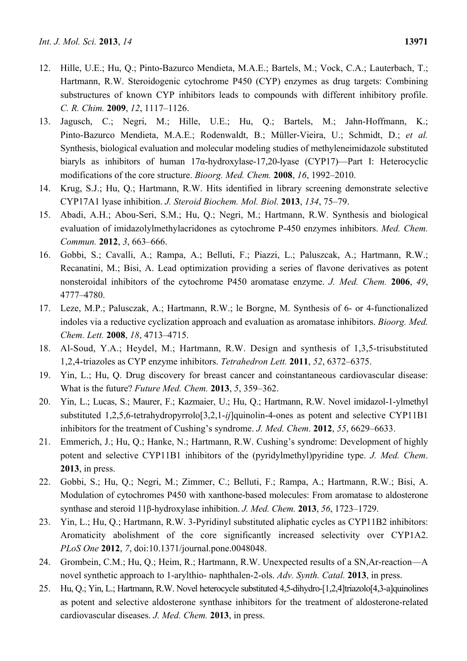- 12. Hille, U.E.; Hu, Q.; Pinto-Bazurco Mendieta, M.A.E.; Bartels, M.; Vock, C.A.; Lauterbach, T.; Hartmann, R.W. Steroidogenic cytochrome P450 (CYP) enzymes as drug targets: Combining substructures of known CYP inhibitors leads to compounds with different inhibitory profile. *C. R. Chim.* **2009**, *12*, 1117–1126.
- 13. Jagusch, C.; Negri, M.; Hille, U.E.; Hu, Q.; Bartels, M.; Jahn-Hoffmann, K.; Pinto-Bazurco Mendieta, M.A.E.; Rodenwaldt, B.; Müller-Vieira, U.; Schmidt, D.; *et al.* Synthesis, biological evaluation and molecular modeling studies of methyleneimidazole substituted biaryls as inhibitors of human 17α-hydroxylase-17,20-lyase (CYP17)—Part I: Heterocyclic modifications of the core structure. *Bioorg. Med. Chem.* **2008**, *16*, 1992–2010.
- 14. Krug, S.J.; Hu, Q.; Hartmann, R.W. Hits identified in library screening demonstrate selective CYP17A1 lyase inhibition. *J. Steroid Biochem. Mol. Biol.* **2013**, *134*, 75–79.
- 15. Abadi, A.H.; Abou-Seri, S.M.; Hu, Q.; Negri, M.; Hartmann, R.W. Synthesis and biological evaluation of imidazolylmethylacridones as cytochrome P-450 enzymes inhibitors. *Med. Chem. Commun.* **2012**, *3*, 663–666.
- 16. Gobbi, S.; Cavalli, A.; Rampa, A.; Belluti, F.; Piazzi, L.; Paluszcak, A.; Hartmann, R.W.; Recanatini, M.; Bisi, A. Lead optimization providing a series of flavone derivatives as potent nonsteroidal inhibitors of the cytochrome P450 aromatase enzyme. *J. Med. Chem.* **2006**, *49*, 4777–4780.
- 17. Leze, M.P.; Palusczak, A.; Hartmann, R.W.; le Borgne, M. Synthesis of 6- or 4-functionalized indoles via a reductive cyclization approach and evaluation as aromatase inhibitors. *Bioorg. Med. Chem. Lett.* **2008**, *18*, 4713–4715.
- 18. Al-Soud, Y.A.; Heydel, M.; Hartmann, R.W. Design and synthesis of 1,3,5-trisubstituted 1,2,4-triazoles as CYP enzyme inhibitors. *Tetrahedron Lett.* **2011**, *52*, 6372–6375.
- 19. Yin, L.; Hu, Q. Drug discovery for breast cancer and coinstantaneous cardiovascular disease: What is the future? *Future Med. Chem.* **2013**, *5*, 359–362.
- 20. Yin, L.; Lucas, S.; Maurer, F.; Kazmaier, U.; Hu, Q.; Hartmann, R.W. Novel imidazol-1-ylmethyl substituted 1,2,5,6-tetrahydropyrrolo[3,2,1-*ij*]quinolin-4-ones as potent and selective CYP11B1 inhibitors for the treatment of Cushing's syndrome. *J. Med. Chem*. **2012**, *55*, 6629–6633.
- 21. Emmerich, J.; Hu, Q.; Hanke, N.; Hartmann, R.W. Cushing's syndrome: Development of highly potent and selective CYP11B1 inhibitors of the (pyridylmethyl)pyridine type. *J. Med. Chem*. **2013**, in press.
- 22. Gobbi, S.; Hu, Q.; Negri, M.; Zimmer, C.; Belluti, F.; Rampa, A.; Hartmann, R.W.; Bisi, A. Modulation of cytochromes P450 with xanthone-based molecules: From aromatase to aldosterone synthase and steroid 11β-hydroxylase inhibition. *J. Med. Chem.* **2013**, *56*, 1723–1729.
- 23. Yin, L.; Hu, Q.; Hartmann, R.W. 3-Pyridinyl substituted aliphatic cycles as CYP11B2 inhibitors: Aromaticity abolishment of the core significantly increased selectivity over CYP1A2. *PLoS One* **2012**, *7*, doi:10.1371/journal.pone.0048048.
- 24. Grombein, C.M.; Hu, Q.; Heim, R.; Hartmann, R.W. Unexpected results of a SN,Ar-reaction—A novel synthetic approach to 1-arylthio- naphthalen-2-ols. *Adv. Synth. Catal.* **2013**, in press.
- 25. Hu, Q.; Yin, L.; Hartmann, R.W. Novel heterocycle substituted 4,5-dihydro-[1,2,4]triazolo[4,3-a]quinolines as potent and selective aldosterone synthase inhibitors for the treatment of aldosterone-related cardiovascular diseases. *J. Med. Chem.* **2013**, in press.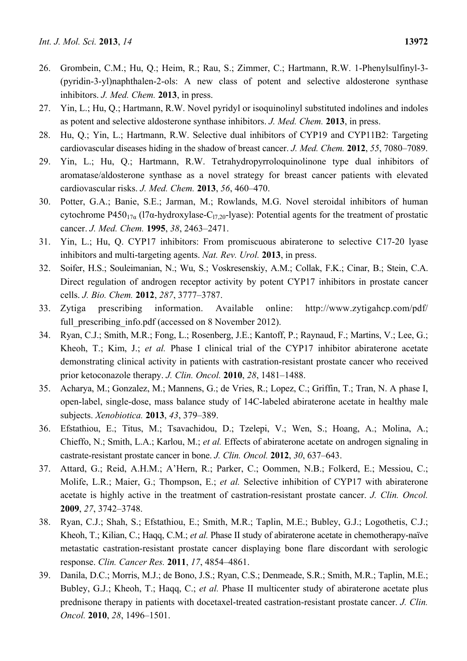- 26. Grombein, C.M.; Hu, Q.; Heim, R.; Rau, S.; Zimmer, C.; Hartmann, R.W. 1-Phenylsulfinyl-3- (pyridin-3-yl)naphthalen-2-ols: A new class of potent and selective aldosterone synthase inhibitors. *J. Med. Chem.* **2013**, in press.
- 27. Yin, L.; Hu, Q.; Hartmann, R.W. Novel pyridyl or isoquinolinyl substituted indolines and indoles as potent and selective aldosterone synthase inhibitors. *J. Med. Chem.* **2013**, in press.
- 28. Hu, Q.; Yin, L.; Hartmann, R.W. Selective dual inhibitors of CYP19 and CYP11B2: Targeting cardiovascular diseases hiding in the shadow of breast cancer. *J. Med. Chem.* **2012**, *55*, 7080–7089.
- 29. Yin, L.; Hu, Q.; Hartmann, R.W. Tetrahydropyrroloquinolinone type dual inhibitors of aromatase/aldosterone synthase as a novel strategy for breast cancer patients with elevated cardiovascular risks. *J. Med. Chem.* **2013**, *56*, 460–470.
- 30. Potter, G.A.; Banie, S.E.; Jarman, M.; Rowlands, M.G. Novel steroidal inhibitors of human cytochrome P450<sub>17α</sub> (17α-hydroxylase-C<sub>17,20</sub>-lyase): Potential agents for the treatment of prostatic cancer. *J. Med. Chem.* **1995**, *38*, 2463–2471.
- 31. Yin, L.; Hu, Q. CYP17 inhibitors: From promiscuous abiraterone to selective C17-20 lyase inhibitors and multi-targeting agents. *Nat. Rev. Urol.* **2013**, in press.
- 32. Soifer, H.S.; Souleimanian, N.; Wu, S.; Voskresenskiy, A.M.; Collak, F.K.; Cinar, B.; Stein, C.A. Direct regulation of androgen receptor activity by potent CYP17 inhibitors in prostate cancer cells. *J. Bio. Chem.* **2012**, *287*, 3777–3787.
- 33. Zytiga prescribing information. Available online: http://www.zytigahcp.com/pdf/ full prescribing info.pdf (accessed on 8 November 2012).
- 34. Ryan, C.J.; Smith, M.R.; Fong, L.; Rosenberg, J.E.; Kantoff, P.; Raynaud, F.; Martins, V.; Lee, G.; Kheoh, T.; Kim, J.; *et al.* Phase I clinical trial of the CYP17 inhibitor abiraterone acetate demonstrating clinical activity in patients with castration-resistant prostate cancer who received prior ketoconazole therapy. *J. Clin. Oncol.* **2010**, *28*, 1481–1488.
- 35. Acharya, M.; Gonzalez, M.; Mannens, G.; de Vries, R.; Lopez, C.; Griffin, T.; Tran, N. A phase I, open-label, single-dose, mass balance study of 14C-labeled abiraterone acetate in healthy male subjects. *Xenobiotica.* **2013**, *43*, 379–389.
- 36. Efstathiou, E.; Titus, M.; Tsavachidou, D.; Tzelepi, V.; Wen, S.; Hoang, A.; Molina, A.; Chieffo, N.; Smith, L.A.; Karlou, M.; *et al.* Effects of abiraterone acetate on androgen signaling in castrate-resistant prostate cancer in bone. *J. Clin. Oncol.* **2012**, *30*, 637–643.
- 37. Attard, G.; Reid, A.H.M.; A'Hern, R.; Parker, C.; Oommen, N.B.; Folkerd, E.; Messiou, C.; Molife, L.R.; Maier, G.; Thompson, E.; *et al.* Selective inhibition of CYP17 with abiraterone acetate is highly active in the treatment of castration-resistant prostate cancer. *J. Clin. Oncol.* **2009**, *27*, 3742–3748.
- 38. Ryan, C.J.; Shah, S.; Efstathiou, E.; Smith, M.R.; Taplin, M.E.; Bubley, G.J.; Logothetis, C.J.; Kheoh, T.; Kilian, C.; Haqq, C.M.; *et al.* Phase II study of abiraterone acetate in chemotherapy-naïve metastatic castration-resistant prostate cancer displaying bone flare discordant with serologic response. *Clin. Cancer Res.* **2011**, *17*, 4854–4861.
- 39. Danila, D.C.; Morris, M.J.; de Bono, J.S.; Ryan, C.S.; Denmeade, S.R.; Smith, M.R.; Taplin, M.E.; Bubley, G.J.; Kheoh, T.; Haqq, C.; *et al.* Phase II multicenter study of abiraterone acetate plus prednisone therapy in patients with docetaxel-treated castration-resistant prostate cancer. *J. Clin. Oncol.* **2010**, *28*, 1496–1501.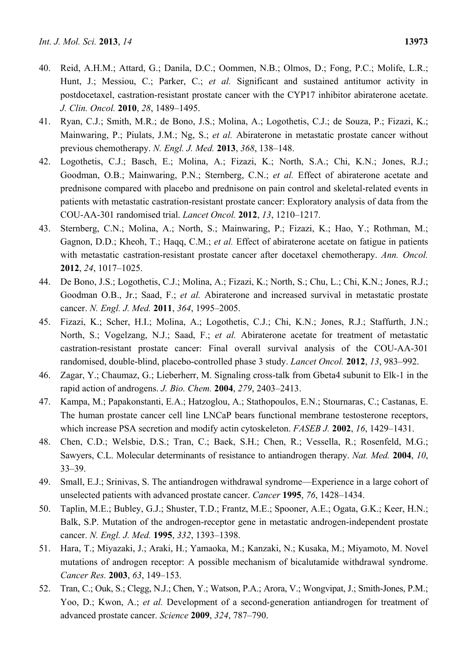- 40. Reid, A.H.M.; Attard, G.; Danila, D.C.; Oommen, N.B.; Olmos, D.; Fong, P.C.; Molife, L.R.; Hunt, J.; Messiou, C.; Parker, C.; *et al.* Significant and sustained antitumor activity in postdocetaxel, castration-resistant prostate cancer with the CYP17 inhibitor abiraterone acetate. *J. Clin. Oncol.* **2010**, *28*, 1489–1495.
- 41. Ryan, C.J.; Smith, M.R.; de Bono, J.S.; Molina, A.; Logothetis, C.J.; de Souza, P.; Fizazi, K.; Mainwaring, P.; Piulats, J.M.; Ng, S.; *et al.* Abiraterone in metastatic prostate cancer without previous chemotherapy. *N. Engl. J. Med.* **2013**, *368*, 138–148.
- 42. Logothetis, C.J.; Basch, E.; Molina, A.; Fizazi, K.; North, S.A.; Chi, K.N.; Jones, R.J.; Goodman, O.B.; Mainwaring, P.N.; Sternberg, C.N.; *et al.* Effect of abiraterone acetate and prednisone compared with placebo and prednisone on pain control and skeletal-related events in patients with metastatic castration-resistant prostate cancer: Exploratory analysis of data from the COU-AA-301 randomised trial. *Lancet Oncol.* **2012**, *13*, 1210–1217.
- 43. Sternberg, C.N.; Molina, A.; North, S.; Mainwaring, P.; Fizazi, K.; Hao, Y.; Rothman, M.; Gagnon, D.D.; Kheoh, T.; Haqq, C.M.; *et al.* Effect of abiraterone acetate on fatigue in patients with metastatic castration-resistant prostate cancer after docetaxel chemotherapy. *Ann. Oncol.* **2012**, *24*, 1017–1025.
- 44. De Bono, J.S.; Logothetis, C.J.; Molina, A.; Fizazi, K.; North, S.; Chu, L.; Chi, K.N.; Jones, R.J.; Goodman O.B., Jr.; Saad, F.; *et al.* Abiraterone and increased survival in metastatic prostate cancer. *N. Engl. J. Med.* **2011**, *364*, 1995–2005.
- 45. Fizazi, K.; Scher, H.I.; Molina, A.; Logothetis, C.J.; Chi, K.N.; Jones, R.J.; Staffurth, J.N.; North, S.; Vogelzang, N.J.; Saad, F.; *et al.* Abiraterone acetate for treatment of metastatic castration-resistant prostate cancer: Final overall survival analysis of the COU-AA-301 randomised, double-blind, placebo-controlled phase 3 study. *Lancet Oncol.* **2012**, *13*, 983–992.
- 46. Zagar, Y.; Chaumaz, G.; Lieberherr, M. Signaling cross-talk from Gbeta4 subunit to Elk-1 in the rapid action of androgens. *J. Bio. Chem.* **2004**, *279*, 2403–2413.
- 47. Kampa, M.; Papakonstanti, E.A.; Hatzoglou, A.; Stathopoulos, E.N.; Stournaras, C.; Castanas, E. The human prostate cancer cell line LNCaP bears functional membrane testosterone receptors, which increase PSA secretion and modify actin cytoskeleton. *FASEB J.* **2002**, *16*, 1429–1431.
- 48. Chen, C.D.; Welsbie, D.S.; Tran, C.; Baek, S.H.; Chen, R.; Vessella, R.; Rosenfeld, M.G.; Sawyers, C.L. Molecular determinants of resistance to antiandrogen therapy. *Nat. Med.* **2004**, *10*, 33–39.
- 49. Small, E.J.; Srinivas, S. The antiandrogen withdrawal syndrome—Experience in a large cohort of unselected patients with advanced prostate cancer. *Cancer* **1995**, *76*, 1428–1434.
- 50. Taplin, M.E.; Bubley, G.J.; Shuster, T.D.; Frantz, M.E.; Spooner, A.E.; Ogata, G.K.; Keer, H.N.; Balk, S.P. Mutation of the androgen-receptor gene in metastatic androgen-independent prostate cancer. *N. Engl. J. Med.* **1995**, *332*, 1393–1398.
- 51. Hara, T.; Miyazaki, J.; Araki, H.; Yamaoka, M.; Kanzaki, N.; Kusaka, M.; Miyamoto, M. Novel mutations of androgen receptor: A possible mechanism of bicalutamide withdrawal syndrome. *Cancer Res.* **2003**, *63*, 149–153.
- 52. Tran, C.; Ouk, S.; Clegg, N.J.; Chen, Y.; Watson, P.A.; Arora, V.; Wongvipat, J.; Smith-Jones, P.M.; Yoo, D.; Kwon, A.; *et al.* Development of a second-generation antiandrogen for treatment of advanced prostate cancer. *Science* **2009**, *324*, 787–790.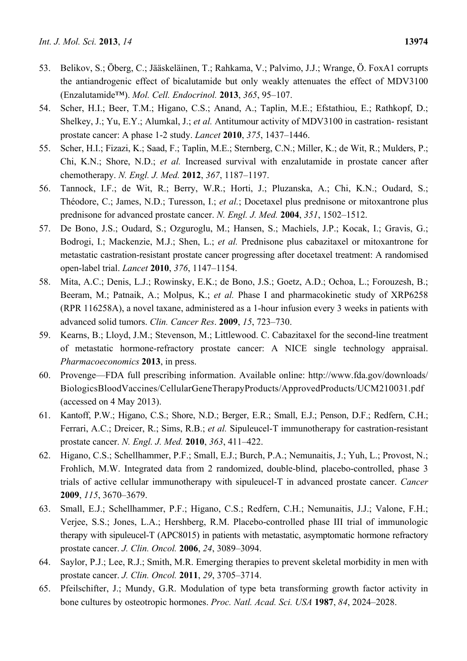- 53. Belikov, S.; Öberg, C.; Jääskeläinen, T.; Rahkama, V.; Palvimo, J.J.; Wrange, Ö. FoxA1 corrupts the antiandrogenic effect of bicalutamide but only weakly attenuates the effect of MDV3100 (Enzalutamide™). *Mol. Cell. Endocrinol.* **2013**, *365*, 95–107.
- 54. Scher, H.I.; Beer, T.M.; Higano, C.S.; Anand, A.; Taplin, M.E.; Efstathiou, E.; Rathkopf, D.; Shelkey, J.; Yu, E.Y.; Alumkal, J.; *et al.* Antitumour activity of MDV3100 in castration- resistant prostate cancer: A phase 1-2 study. *Lancet* **2010**, *375*, 1437–1446.
- 55. Scher, H.I.; Fizazi, K.; Saad, F.; Taplin, M.E.; Sternberg, C.N.; Miller, K.; de Wit, R.; Mulders, P.; Chi, K.N.; Shore, N.D.; *et al.* Increased survival with enzalutamide in prostate cancer after chemotherapy. *N. Engl. J. Med.* **2012**, *367*, 1187–1197.
- 56. Tannock, I.F.; de Wit, R.; Berry, W.R.; Horti, J.; Pluzanska, A.; Chi, K.N.; Oudard, S.; Théodore, C.; James, N.D.; Turesson, I.; *et al.*; Docetaxel plus prednisone or mitoxantrone plus prednisone for advanced prostate cancer. *N. Engl. J. Med.* **2004**, *351*, 1502–1512.
- 57. De Bono, J.S.; Oudard, S.; Ozguroglu, M.; Hansen, S.; Machiels, J.P.; Kocak, I.; Gravis, G.; Bodrogi, I.; Mackenzie, M.J.; Shen, L.; *et al.* Prednisone plus cabazitaxel or mitoxantrone for metastatic castration-resistant prostate cancer progressing after docetaxel treatment: A randomised open-label trial. *Lancet* **2010**, *376*, 1147–1154.
- 58. Mita, A.C.; Denis, L.J.; Rowinsky, E.K.; de Bono, J.S.; Goetz, A.D.; Ochoa, L.; Forouzesh, B.; Beeram, M.; Patnaik, A.; Molpus, K.; *et al.* Phase I and pharmacokinetic study of XRP6258 (RPR 116258A), a novel taxane, administered as a 1-hour infusion every 3 weeks in patients with advanced solid tumors. *Clin. Cancer Res*. **2009**, *15*, 723–730.
- 59. Kearns, B.; Lloyd, J.M.; Stevenson, M.; Littlewood. C. Cabazitaxel for the second-line treatment of metastatic hormone-refractory prostate cancer: A NICE single technology appraisal. *Pharmacoeconomics* **2013**, in press.
- 60. Provenge—FDA full prescribing information. Available online: http://www.fda.gov/downloads/ BiologicsBloodVaccines/CellularGeneTherapyProducts/ApprovedProducts/UCM210031.pdf (accessed on 4 May 2013).
- 61. Kantoff, P.W.; Higano, C.S.; Shore, N.D.; Berger, E.R.; Small, E.J.; Penson, D.F.; Redfern, C.H.; Ferrari, A.C.; Dreicer, R.; Sims, R.B.; *et al.* Sipuleucel-T immunotherapy for castration-resistant prostate cancer. *N. Engl. J. Med.* **2010**, *363*, 411–422.
- 62. Higano, C.S.; Schellhammer, P.F.; Small, E.J.; Burch, P.A.; Nemunaitis, J.; Yuh, L.; Provost, N.; Frohlich, M.W. Integrated data from 2 randomized, double-blind, placebo-controlled, phase 3 trials of active cellular immunotherapy with sipuleucel-T in advanced prostate cancer. *Cancer* **2009**, *115*, 3670–3679.
- 63. Small, E.J.; Schellhammer, P.F.; Higano, C.S.; Redfern, C.H.; Nemunaitis, J.J.; Valone, F.H.; Verjee, S.S.; Jones, L.A.; Hershberg, R.M. Placebo-controlled phase III trial of immunologic therapy with sipuleucel-T (APC8015) in patients with metastatic, asymptomatic hormone refractory prostate cancer. *J. Clin. Oncol.* **2006**, *24*, 3089–3094.
- 64. Saylor, P.J.; Lee, R.J.; Smith, M.R. Emerging therapies to prevent skeletal morbidity in men with prostate cancer. *J. Clin. Oncol.* **2011**, *29*, 3705–3714.
- 65. Pfeilschifter, J.; Mundy, G.R. Modulation of type beta transforming growth factor activity in bone cultures by osteotropic hormones. *Proc. Natl. Acad. Sci. USA* **1987**, *84*, 2024–2028.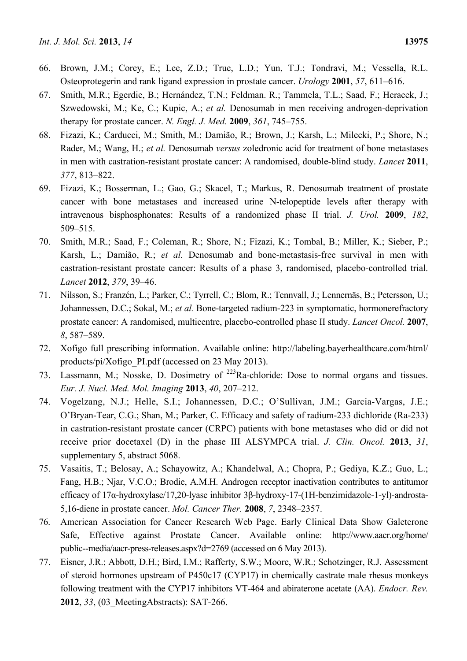- 66. Brown, J.M.; Corey, E.; Lee, Z.D.; True, L.D.; Yun, T.J.; Tondravi, M.; Vessella, R.L. Osteoprotegerin and rank ligand expression in prostate cancer. *Urology* **2001**, *57*, 611–616.
- 67. Smith, M.R.; Egerdie, B.; Hernández, T.N.; Feldman. R.; Tammela, T.L.; Saad, F.; Heracek, J.; Szwedowski, M.; Ke, C.; Kupic, A.; *et al.* Denosumab in men receiving androgen-deprivation therapy for prostate cancer. *N. Engl. J. Med.* **2009**, *361*, 745–755.
- 68. Fizazi, K.; Carducci, M.; Smith, M.; Damião, R.; Brown, J.; Karsh, L.; Milecki, P.; Shore, N.; Rader, M.; Wang, H.; *et al.* Denosumab *versus* zoledronic acid for treatment of bone metastases in men with castration-resistant prostate cancer: A randomised, double-blind study. *Lancet* **2011**, *377*, 813–822.
- 69. Fizazi, K.; Bosserman, L.; Gao, G.; Skacel, T.; Markus, R. Denosumab treatment of prostate cancer with bone metastases and increased urine N-telopeptide levels after therapy with intravenous bisphosphonates: Results of a randomized phase II trial. *J. Urol.* **2009**, *182*, 509–515.
- 70. Smith, M.R.; Saad, F.; Coleman, R.; Shore, N.; Fizazi, K.; Tombal, B.; Miller, K.; Sieber, P.; Karsh, L.; Damião, R.; *et al.* Denosumab and bone-metastasis-free survival in men with castration-resistant prostate cancer: Results of a phase 3, randomised, placebo-controlled trial. *Lancet* **2012**, *379*, 39–46.
- 71. Nilsson, S.; Franzén, L.; Parker, C.; Tyrrell, C.; Blom, R.; Tennvall, J.; Lennernäs, B.; Petersson, U.; Johannessen, D.C.; Sokal, M.; *et al.* Bone-targeted radium-223 in symptomatic, hormonerefractory prostate cancer: A randomised, multicentre, placebo-controlled phase II study. *Lancet Oncol.* **2007**, *8*, 587–589.
- 72. Xofigo full prescribing information. Available online: http://labeling.bayerhealthcare.com/html/ products/pi/Xofigo\_PI.pdf (accessed on 23 May 2013).
- 73. Lassmann, M.; Nosske, D. Dosimetry of <sup>223</sup>Ra-chloride: Dose to normal organs and tissues. *Eur. J. Nucl. Med. Mol. Imaging* **2013**, *40*, 207–212.
- 74. Vogelzang, N.J.; Helle, S.I.; Johannessen, D.C.; O'Sullivan, J.M.; Garcia-Vargas, J.E.; O'Bryan-Tear, C.G.; Shan, M.; Parker, C. Efficacy and safety of radium-233 dichloride (Ra-233) in castration-resistant prostate cancer (CRPC) patients with bone metastases who did or did not receive prior docetaxel (D) in the phase III ALSYMPCA trial. *J. Clin. Oncol.* **2013**, *31*, supplementary 5, abstract 5068.
- 75. Vasaitis, T.; Belosay, A.; Schayowitz, A.; Khandelwal, A.; Chopra, P.; Gediya, K.Z.; Guo, L.; Fang, H.B.; Njar, V.C.O.; Brodie, A.M.H. Androgen receptor inactivation contributes to antitumor efficacy of 17α-hydroxylase/17,20-lyase inhibitor 3β-hydroxy-17-(1H-benzimidazole-1-yl)-androsta-5,16-diene in prostate cancer. *Mol. Cancer Ther.* **2008**, *7*, 2348–2357.
- 76. American Association for Cancer Research Web Page. Early Clinical Data Show Galeterone Safe, Effective against Prostate Cancer. Available online: http://www.aacr.org/home/ public--media/aacr-press-releases.aspx?d=2769 (accessed on 6 May 2013).
- 77. Eisner, J.R.; Abbott, D.H.; Bird, I.M.; Rafferty, S.W.; Moore, W.R.; Schotzinger, R.J. Assessment of steroid hormones upstream of P450c17 (CYP17) in chemically castrate male rhesus monkeys following treatment with the CYP17 inhibitors VT-464 and abiraterone acetate (AA). *Endocr. Rev.*  **2012**, *33*, (03\_MeetingAbstracts): SAT-266.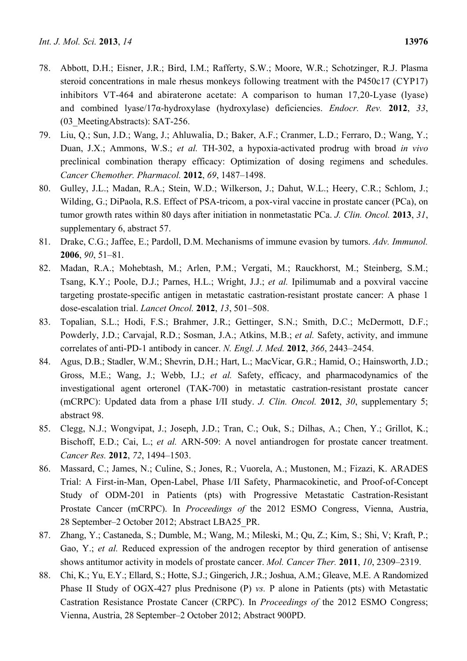- 78. Abbott, D.H.; Eisner, J.R.; Bird, I.M.; Rafferty, S.W.; Moore, W.R.; Schotzinger, R.J. Plasma steroid concentrations in male rhesus monkeys following treatment with the P450c17 (CYP17) inhibitors VT-464 and abiraterone acetate: A comparison to human 17,20-Lyase (lyase) and combined lyase/17α-hydroxylase (hydroxylase) deficiencies. *Endocr. Rev.* **2012**, *33*, (03\_MeetingAbstracts): SAT-256.
- 79. Liu, Q.; Sun, J.D.; Wang, J.; Ahluwalia, D.; Baker, A.F.; Cranmer, L.D.; Ferraro, D.; Wang, Y.; Duan, J.X.; Ammons, W.S.; *et al.* TH-302, a hypoxia-activated prodrug with broad *in vivo* preclinical combination therapy efficacy: Optimization of dosing regimens and schedules. *Cancer Chemother. Pharmacol.* **2012**, *69*, 1487–1498.
- 80. Gulley, J.L.; Madan, R.A.; Stein, W.D.; Wilkerson, J.; Dahut, W.L.; Heery, C.R.; Schlom, J.; Wilding, G.; DiPaola, R.S. Effect of PSA-tricom, a pox-viral vaccine in prostate cancer (PCa), on tumor growth rates within 80 days after initiation in nonmetastatic PCa. *J. Clin. Oncol.* **2013**, *31*, supplementary 6, abstract 57.
- 81. Drake, C.G.; Jaffee, E.; Pardoll, D.M. Mechanisms of immune evasion by tumors. *Adv. Immunol.* **2006**, *90*, 51–81.
- 82. Madan, R.A.; Mohebtash, M.; Arlen, P.M.; Vergati, M.; Rauckhorst, M.; Steinberg, S.M.; Tsang, K.Y.; Poole, D.J.; Parnes, H.L.; Wright, J.J.; *et al.* Ipilimumab and a poxviral vaccine targeting prostate-specific antigen in metastatic castration-resistant prostate cancer: A phase 1 dose-escalation trial. *Lancet Oncol.* **2012**, *13*, 501–508.
- 83. Topalian, S.L.; Hodi, F.S.; Brahmer, J.R.; Gettinger, S.N.; Smith, D.C.; McDermott, D.F.; Powderly, J.D.; Carvajal, R.D.; Sosman, J.A.; Atkins, M.B.; *et al.* Safety, activity, and immune correlates of anti-PD-1 antibody in cancer. *N. Engl. J. Med.* **2012**, *366*, 2443–2454.
- 84. Agus, D.B.; Stadler, W.M.; Shevrin, D.H.; Hart, L.; MacVicar, G.R.; Hamid, O.; Hainsworth, J.D.; Gross, M.E.; Wang, J.; Webb, I.J.; *et al.* Safety, efficacy, and pharmacodynamics of the investigational agent orteronel (TAK-700) in metastatic castration-resistant prostate cancer (mCRPC): Updated data from a phase I/II study. *J. Clin. Oncol.* **2012**, *30*, supplementary 5; abstract 98.
- 85. Clegg, N.J.; Wongvipat, J.; Joseph, J.D.; Tran, C.; Ouk, S.; Dilhas, A.; Chen, Y.; Grillot, K.; Bischoff, E.D.; Cai, L.; *et al.* ARN-509: A novel antiandrogen for prostate cancer treatment. *Cancer Res.* **2012**, *72*, 1494–1503.
- 86. Massard, C.; James, N.; Culine, S.; Jones, R.; Vuorela, A.; Mustonen, M.; Fizazi, K. ARADES Trial: A First-in-Man, Open-Label, Phase I/II Safety, Pharmacokinetic, and Proof-of-Concept Study of ODM-201 in Patients (pts) with Progressive Metastatic Castration-Resistant Prostate Cancer (mCRPC). In *Proceedings of* the 2012 ESMO Congress, Vienna, Austria, 28 September–2 October 2012; Abstract LBA25\_PR.
- 87. Zhang, Y.; Castaneda, S.; Dumble, M.; Wang, M.; Mileski, M.; Qu, Z.; Kim, S.; Shi, V; Kraft, P.; Gao, Y.; *et al.* Reduced expression of the androgen receptor by third generation of antisense shows antitumor activity in models of prostate cancer. *Mol. Cancer Ther.* **2011**, *10*, 2309–2319.
- 88. Chi, K.; Yu, E.Y.; Ellard, S.; Hotte, S.J.; Gingerich, J.R.; Joshua, A.M.; Gleave, M.E. A Randomized Phase II Study of OGX-427 plus Prednisone (P) *vs.* P alone in Patients (pts) with Metastatic Castration Resistance Prostate Cancer (CRPC). In *Proceedings of* the 2012 ESMO Congress; Vienna, Austria, 28 September–2 October 2012; Abstract 900PD.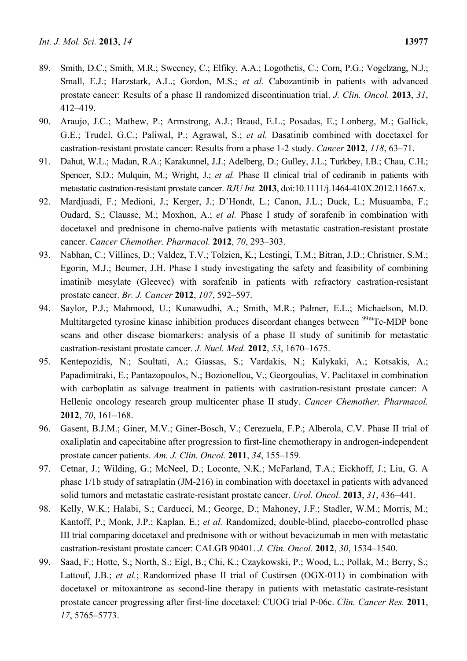- 89. Smith, D.C.; Smith, M.R.; Sweeney, C.; Elfiky, A.A.; Logothetis, C.; Corn, P.G.; Vogelzang, N.J.; Small, E.J.; Harzstark, A.L.; Gordon, M.S.; *et al.* Cabozantinib in patients with advanced prostate cancer: Results of a phase II randomized discontinuation trial. *J. Clin. Oncol.* **2013**, *31*, 412–419.
- 90. Araujo, J.C.; Mathew, P.; Armstrong, A.J.; Braud, E.L.; Posadas, E.; Lonberg, M.; Gallick, G.E.; Trudel, G.C.; Paliwal, P.; Agrawal, S.; *et al.* Dasatinib combined with docetaxel for castration-resistant prostate cancer: Results from a phase 1-2 study. *Cancer* **2012**, *118*, 63–71.
- 91. Dahut, W.L.; Madan, R.A.; Karakunnel, J.J.; Adelberg, D.; Gulley, J.L.; Turkbey, I.B.; Chau, C.H.; Spencer, S.D.; Mulquin, M.; Wright, J.; *et al.* Phase II clinical trial of cediranib in patients with metastatic castration-resistant prostate cancer. *BJU Int.* **2013**, doi:10.1111/j.1464-410X.2012.11667.x.
- 92. Mardjuadi, F.; Medioni, J.; Kerger, J.; D'Hondt, L.; Canon, J.L.; Duck, L.; Musuamba, F.; Oudard, S.; Clausse, M.; Moxhon, A.; *et al.* Phase I study of sorafenib in combination with docetaxel and prednisone in chemo-naïve patients with metastatic castration-resistant prostate cancer. *Cancer Chemother. Pharmacol.* **2012**, *70*, 293–303.
- 93. Nabhan, C.; Villines, D.; Valdez, T.V.; Tolzien, K.; Lestingi, T.M.; Bitran, J.D.; Christner, S.M.; Egorin, M.J.; Beumer, J.H. Phase I study investigating the safety and feasibility of combining imatinib mesylate (Gleevec) with sorafenib in patients with refractory castration-resistant prostate cancer. *Br. J. Cancer* **2012**, *107*, 592–597.
- 94. Saylor, P.J.; Mahmood, U.; Kunawudhi, A.; Smith, M.R.; Palmer, E.L.; Michaelson, M.D. Multitargeted tyrosine kinase inhibition produces discordant changes between <sup>99m</sup>Tc-MDP bone scans and other disease biomarkers: analysis of a phase II study of sunitinib for metastatic castration-resistant prostate cancer. *J. Nucl. Med.* **2012**, *53*, 1670–1675.
- 95. Kentepozidis, N.; Soultati, A.; Giassas, S.; Vardakis, N.; Kalykaki, A.; Kotsakis, A.; Papadimitraki, E.; Pantazopoulos, N.; Bozionellou, V.; Georgoulias, V. Paclitaxel in combination with carboplatin as salvage treatment in patients with castration-resistant prostate cancer: A Hellenic oncology research group multicenter phase II study. *Cancer Chemother. Pharmacol.* **2012**, *70*, 161–168.
- 96. Gasent, B.J.M.; Giner, M.V.; Giner-Bosch, V.; Cerezuela, F.P.; Alberola, C.V. Phase II trial of oxaliplatin and capecitabine after progression to first-line chemotherapy in androgen-independent prostate cancer patients. *Am. J. Clin. Oncol.* **2011**, *34*, 155–159.
- 97. Cetnar, J.; Wilding, G.; McNeel, D.; Loconte, N.K.; McFarland, T.A.; Eickhoff, J.; Liu, G. A phase 1/1b study of satraplatin (JM-216) in combination with docetaxel in patients with advanced solid tumors and metastatic castrate-resistant prostate cancer. *Urol. Oncol.* **2013**, *31*, 436–441.
- 98. Kelly, W.K.; Halabi, S.; Carducci, M.; George, D.; Mahoney, J.F.; Stadler, W.M.; Morris, M.; Kantoff, P.; Monk, J.P.; Kaplan, E.; *et al.* Randomized, double-blind, placebo-controlled phase III trial comparing docetaxel and prednisone with or without bevacizumab in men with metastatic castration-resistant prostate cancer: CALGB 90401. *J. Clin. Oncol.* **2012**, *30*, 1534–1540.
- 99. Saad, F.; Hotte, S.; North, S.; Eigl, B.; Chi, K.; Czaykowski, P.; Wood, L.; Pollak, M.; Berry, S.; Lattouf, J.B.; *et al.*; Randomized phase II trial of Custirsen (OGX-011) in combination with docetaxel or mitoxantrone as second-line therapy in patients with metastatic castrate-resistant prostate cancer progressing after first-line docetaxel: CUOG trial P-06c. *Clin. Cancer Res.* **2011**, *17*, 5765–5773.